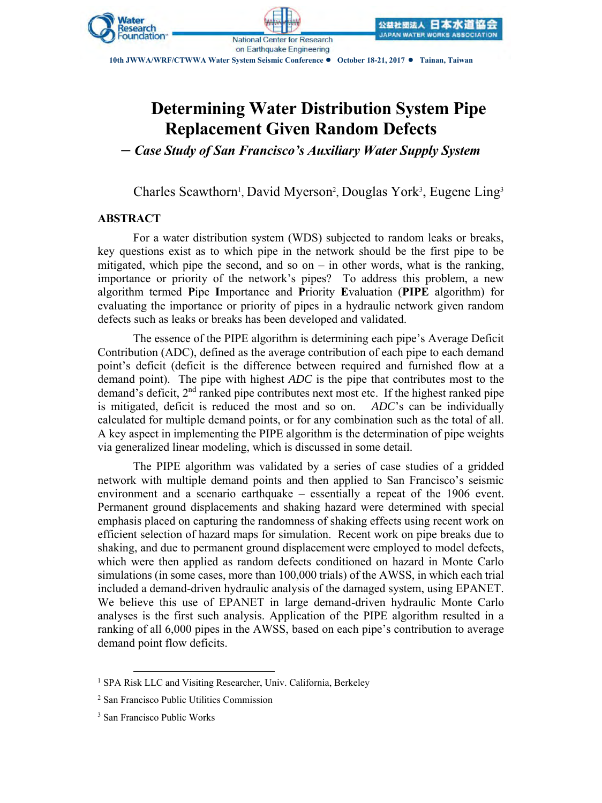

**10th JWWA/WRF/CTWWA Water System Seismic Conference ● October 18-21, 2017 ● Tainan, Taiwan**

**National Center for Research** on Earthquake Engineering

# **Determining Water Distribution System Pipe Replacement Given Random Defects**

*– Case Study of San Francisco's Auxiliary Water Supply System*

Charles Scawthorn<sup>1</sup>, David Myerson<sup>2</sup>, Douglas York<sup>3</sup>, Eugene Ling<sup>3</sup>

# **ABSTRACT**

For a water distribution system (WDS) subjected to random leaks or breaks, key questions exist as to which pipe in the network should be the first pipe to be mitigated, which pipe the second, and so on  $-$  in other words, what is the ranking, importance or priority of the network's pipes? To address this problem, a new algorithm termed **P**ipe **I**mportance and **P**riority **E**valuation (**PIPE** algorithm) for evaluating the importance or priority of pipes in a hydraulic network given random defects such as leaks or breaks has been developed and validated.

The essence of the PIPE algorithm is determining each pipe's Average Deficit Contribution (ADC), defined as the average contribution of each pipe to each demand point's deficit (deficit is the difference between required and furnished flow at a demand point). The pipe with highest *ADC* is the pipe that contributes most to the demand's deficit, 2<sup>nd</sup> ranked pipe contributes next most etc. If the highest ranked pipe is mitigated, deficit is reduced the most and so on. *ADC*'s can be individually calculated for multiple demand points, or for any combination such as the total of all. A key aspect in implementing the PIPE algorithm is the determination of pipe weights via generalized linear modeling, which is discussed in some detail.

The PIPE algorithm was validated by a series of case studies of a gridded network with multiple demand points and then applied to San Francisco's seismic environment and a scenario earthquake – essentially a repeat of the 1906 event. Permanent ground displacements and shaking hazard were determined with special emphasis placed on capturing the randomness of shaking effects using recent work on efficient selection of hazard maps for simulation. Recent work on pipe breaks due to shaking, and due to permanent ground displacement were employed to model defects, which were then applied as random defects conditioned on hazard in Monte Carlo simulations (in some cases, more than 100,000 trials) of the AWSS, in which each trial included a demand-driven hydraulic analysis of the damaged system, using EPANET. We believe this use of EPANET in large demand-driven hydraulic Monte Carlo analyses is the first such analysis. Application of the PIPE algorithm resulted in a ranking of all 6,000 pipes in the AWSS, based on each pipe's contribution to average demand point flow deficits.

 $\overline{a}$ 

<sup>&</sup>lt;sup>1</sup> SPA Risk LLC and Visiting Researcher, Univ. California, Berkeley

<sup>2</sup> San Francisco Public Utilities Commission

<sup>3</sup> San Francisco Public Works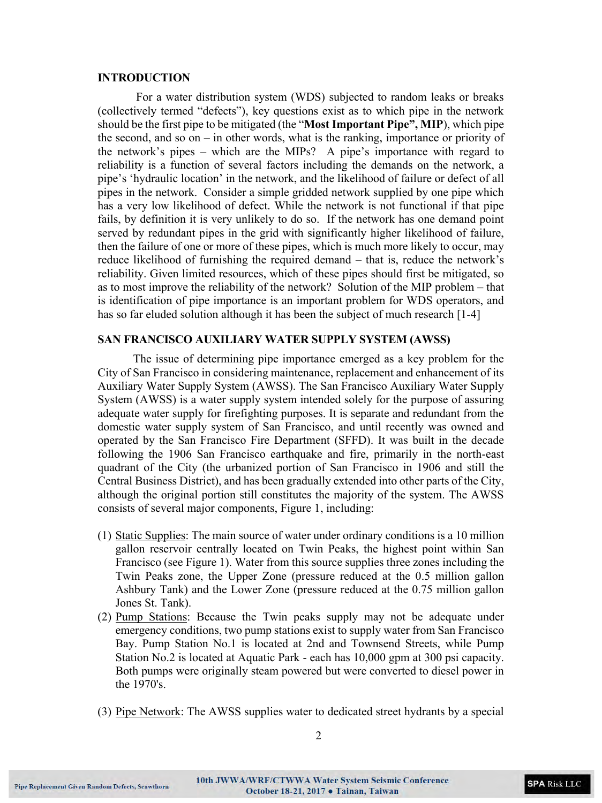#### **INTRODUCTION**

For a water distribution system (WDS) subjected to random leaks or breaks (collectively termed "defects"), key questions exist as to which pipe in the network should be the first pipe to be mitigated (the "**Most Important Pipe", MIP**), which pipe the second, and so on – in other words, what is the ranking, importance or priority of the network's pipes – which are the MIPs? A pipe's importance with regard to reliability is a function of several factors including the demands on the network, a pipe's 'hydraulic location' in the network, and the likelihood of failure or defect of all pipes in the network. Consider a simple gridded network supplied by one pipe which has a very low likelihood of defect. While the network is not functional if that pipe fails, by definition it is very unlikely to do so. If the network has one demand point served by redundant pipes in the grid with significantly higher likelihood of failure, then the failure of one or more of these pipes, which is much more likely to occur, may reduce likelihood of furnishing the required demand – that is, reduce the network's reliability. Given limited resources, which of these pipes should first be mitigated, so as to most improve the reliability of the network? Solution of the MIP problem – that is identification of pipe importance is an important problem for WDS operators, and has so far eluded solution although it has been the subject of much research [1-4]

#### **SAN FRANCISCO AUXILIARY WATER SUPPLY SYSTEM (AWSS)**

The issue of determining pipe importance emerged as a key problem for the City of San Francisco in considering maintenance, replacement and enhancement of its Auxiliary Water Supply System (AWSS). The San Francisco Auxiliary Water Supply System (AWSS) is a water supply system intended solely for the purpose of assuring adequate water supply for firefighting purposes. It is separate and redundant from the domestic water supply system of San Francisco, and until recently was owned and operated by the San Francisco Fire Department (SFFD). It was built in the decade following the 1906 San Francisco earthquake and fire, primarily in the north-east quadrant of the City (the urbanized portion of San Francisco in 1906 and still the Central Business District), and has been gradually extended into other parts of the City, although the original portion still constitutes the majority of the system. The AWSS consists of several major components, [Figure 1,](#page-2-0) including:

- (1) Static Supplies: The main source of water under ordinary conditions is a 10 million gallon reservoir centrally located on Twin Peaks, the highest point within San Francisco (see Figure 1). Water from this source supplies three zones including the Twin Peaks zone, the Upper Zone (pressure reduced at the 0.5 million gallon Ashbury Tank) and the Lower Zone (pressure reduced at the 0.75 million gallon Jones St. Tank).
- (2) Pump Stations: Because the Twin peaks supply may not be adequate under emergency conditions, two pump stations exist to supply water from San Francisco Bay. Pump Station No.1 is located at 2nd and Townsend Streets, while Pump Station No.2 is located at Aquatic Park - each has 10,000 gpm at 300 psi capacity. Both pumps were originally steam powered but were converted to diesel power in the 1970's.
- (3) Pipe Network: The AWSS supplies water to dedicated street hydrants by a special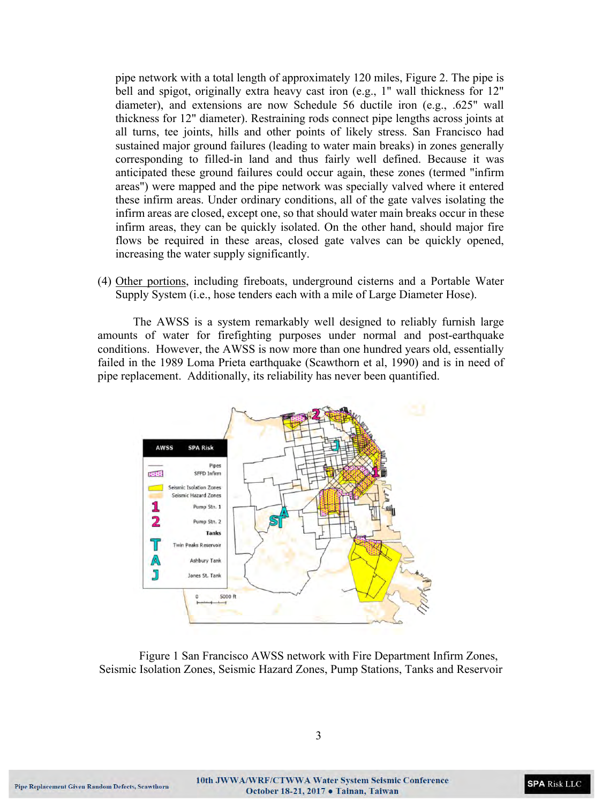pipe network with a total length of approximately 120 miles, Figure 2. The pipe is bell and spigot, originally extra heavy cast iron (e.g., 1" wall thickness for 12" diameter), and extensions are now Schedule 56 ductile iron (e.g., .625" wall thickness for 12" diameter). Restraining rods connect pipe lengths across joints at all turns, tee joints, hills and other points of likely stress. San Francisco had sustained major ground failures (leading to water main breaks) in zones generally corresponding to filled-in land and thus fairly well defined. Because it was anticipated these ground failures could occur again, these zones (termed "infirm areas") were mapped and the pipe network was specially valved where it entered these infirm areas. Under ordinary conditions, all of the gate valves isolating the infirm areas are closed, except one, so that should water main breaks occur in these infirm areas, they can be quickly isolated. On the other hand, should major fire flows be required in these areas, closed gate valves can be quickly opened, increasing the water supply significantly.

(4) Other portions, including fireboats, underground cisterns and a Portable Water Supply System (i.e., hose tenders each with a mile of Large Diameter Hose).

The AWSS is a system remarkably well designed to reliably furnish large amounts of water for firefighting purposes under normal and post-earthquake conditions. However, the AWSS is now more than one hundred years old, essentially failed in the 1989 Loma Prieta earthquake (Scawthorn et al, 1990) and is in need of pipe replacement. Additionally, its reliability has never been quantified.



<span id="page-2-0"></span>Figure 1 San Francisco AWSS network with Fire Department Infirm Zones, Seismic Isolation Zones, Seismic Hazard Zones, Pump Stations, Tanks and Reservoir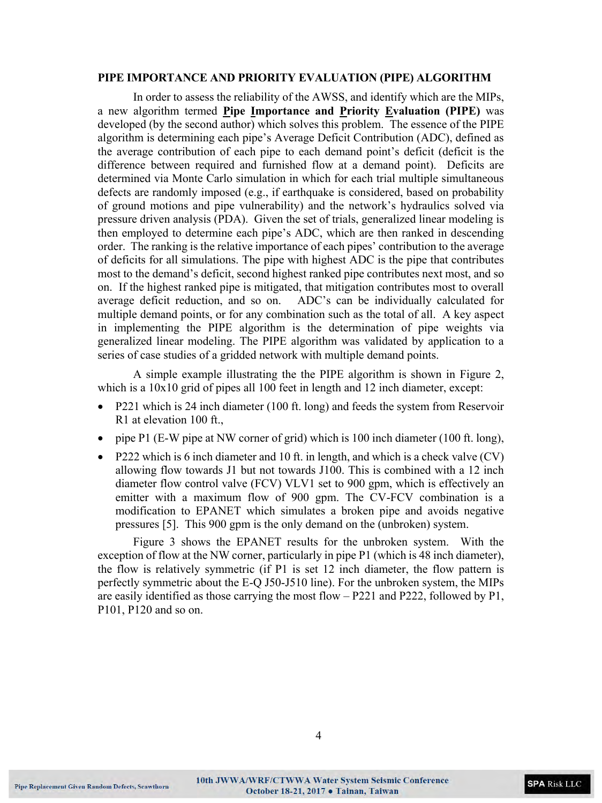#### **PIPE IMPORTANCE AND PRIORITY EVALUATION (PIPE) ALGORITHM**

In order to assess the reliability of the AWSS, and identify which are the MIPs, a new algorithm termed **Pipe Importance and Priority Evaluation (PIPE)** was developed (by the second author) which solves this problem. The essence of the PIPE algorithm is determining each pipe's Average Deficit Contribution (ADC), defined as the average contribution of each pipe to each demand point's deficit (deficit is the difference between required and furnished flow at a demand point). Deficits are determined via Monte Carlo simulation in which for each trial multiple simultaneous defects are randomly imposed (e.g., if earthquake is considered, based on probability of ground motions and pipe vulnerability) and the network's hydraulics solved via pressure driven analysis (PDA). Given the set of trials, generalized linear modeling is then employed to determine each pipe's ADC, which are then ranked in descending order. The ranking is the relative importance of each pipes' contribution to the average of deficits for all simulations. The pipe with highest ADC is the pipe that contributes most to the demand's deficit, second highest ranked pipe contributes next most, and so on. If the highest ranked pipe is mitigated, that mitigation contributes most to overall average deficit reduction, and so on. ADC's can be individually calculated for multiple demand points, or for any combination such as the total of all. A key aspect in implementing the PIPE algorithm is the determination of pipe weights via generalized linear modeling. The PIPE algorithm was validated by application to a series of case studies of a gridded network with multiple demand points.

A simple example illustrating the the PIPE algorithm is shown in [Figure 2,](#page-4-0) which is a  $10x10$  grid of pipes all 100 feet in length and 12 inch diameter, except:

- P221 which is 24 inch diameter (100 ft. long) and feeds the system from Reservoir R1 at elevation 100 ft.,
- pipe P1 (E-W pipe at NW corner of grid) which is 100 inch diameter (100 ft. long),
- P222 which is 6 inch diameter and 10 ft. in length, and which is a check valve  $(CV)$ allowing flow towards J1 but not towards J100. This is combined with a 12 inch diameter flow control valve (FCV) VLV1 set to 900 gpm, which is effectively an emitter with a maximum flow of 900 gpm. The CV-FCV combination is a modification to EPANET which simulates a broken pipe and avoids negative pressures [5]. This 900 gpm is the only demand on the (unbroken) system.

[Figure 3](#page-5-0) shows the EPANET results for the unbroken system. With the exception of flow at the NW corner, particularly in pipe P1 (which is 48 inch diameter), the flow is relatively symmetric (if P1 is set 12 inch diameter, the flow pattern is perfectly symmetric about the E-Q J50-J510 line). For the unbroken system, the MIPs are easily identified as those carrying the most flow – P221 and P222, followed by P1, P101, P120 and so on.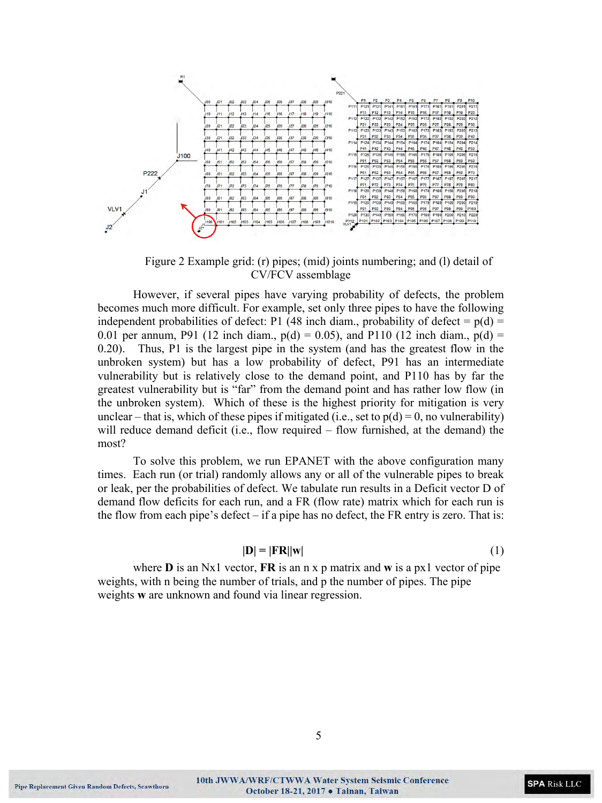

Figure 2 Example grid: (r) pipes; (mid) joints numbering; and (l) detail of CV/FCV assemblage

<span id="page-4-0"></span>However, if several pipes have varying probability of defects, the problem becomes much more difficult. For example, set only three pipes to have the following independent probabilities of defect: P1 (48 inch diam., probability of defect =  $p(d)$  = 0.01 per annum, P91 (12 inch diam.,  $p(d) = 0.05$ ), and P110 (12 inch diam.,  $p(d) =$ 0.20). Thus, P1 is the largest pipe in the system (and has the greatest flow in the unbroken system) but has a low probability of defect, P91 has an intermediate vulnerability but is relatively close to the demand point, and P110 has by far the greatest vulnerability but is "far" from the demand point and has rather low flow (in the unbroken system). Which of these is the highest priority for mitigation is very unclear – that is, which of these pipes if mitigated (i.e., set to  $p(d) = 0$ , no vulnerability) will reduce demand deficit (i.e., flow required – flow furnished, at the demand) the most?

To solve this problem, we run EPANET with the above configuration many times. Each run (or trial) randomly allows any or all of the vulnerable pipes to break or leak, per the probabilities of defect. We tabulate run results in a Deficit vector D of demand flow deficits for each run, and a FR (flow rate) matrix which for each run is the flow from each pipe's defect – if a pipe has no defect, the FR entry is zero. That is:

$$
|\mathbf{D}| = |\mathbf{FR}||\mathbf{w}| \tag{1}
$$

where **D** is an Nx1 vector, **FR** is an n x p matrix and **w** is a px1 vector of pipe weights, with n being the number of trials, and p the number of pipes. The pipe weights **w** are unknown and found via linear regression.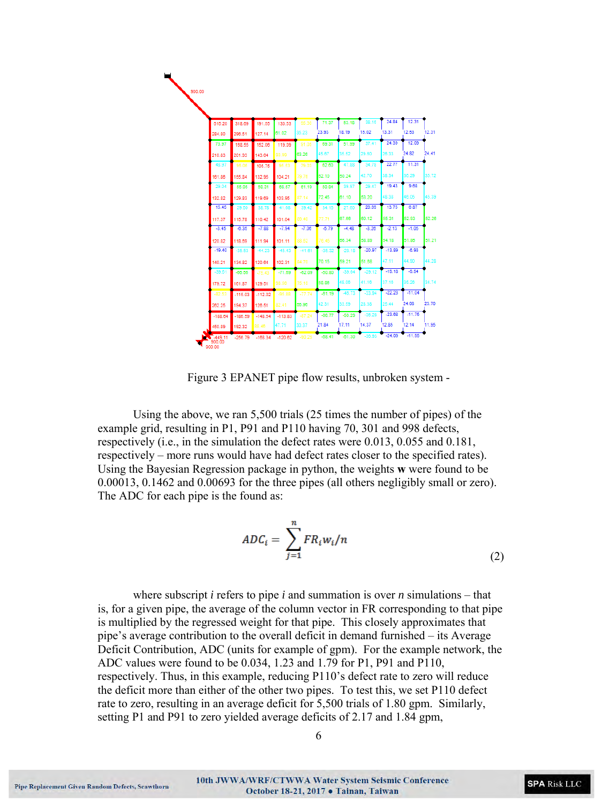

Figure 3 EPANET pipe flow results, unbroken system -

<span id="page-5-0"></span>Using the above, we ran 5,500 trials (25 times the number of pipes) of the example grid, resulting in P1, P91 and P110 having 70, 301 and 998 defects, respectively (i.e., in the simulation the defect rates were 0.013, 0.055 and 0.181, respectively – more runs would have had defect rates closer to the specified rates). Using the Bayesian Regression package in python, the weights **w** were found to be 0.00013, 0.1462 and 0.00693 for the three pipes (all others negligibly small or zero). The ADC for each pipe is the found as:

$$
ADC_i = \sum_{j=1}^{n} FR_i w_i / n
$$
\n(2)

where subscript *i* refers to pipe *i* and summation is over *n* simulations – that is, for a given pipe, the average of the column vector in FR corresponding to that pipe is multiplied by the regressed weight for that pipe. This closely approximates that pipe's average contribution to the overall deficit in demand furnished – its Average Deficit Contribution, ADC (units for example of gpm). For the example network, the ADC values were found to be 0.034, 1.23 and 1.79 for P1, P91 and P110, respectively. Thus, in this example, reducing P110's defect rate to zero will reduce the deficit more than either of the other two pipes. To test this, we set P110 defect rate to zero, resulting in an average deficit for 5,500 trials of 1.80 gpm. Similarly, setting P1 and P91 to zero yielded average deficits of 2.17 and 1.84 gpm,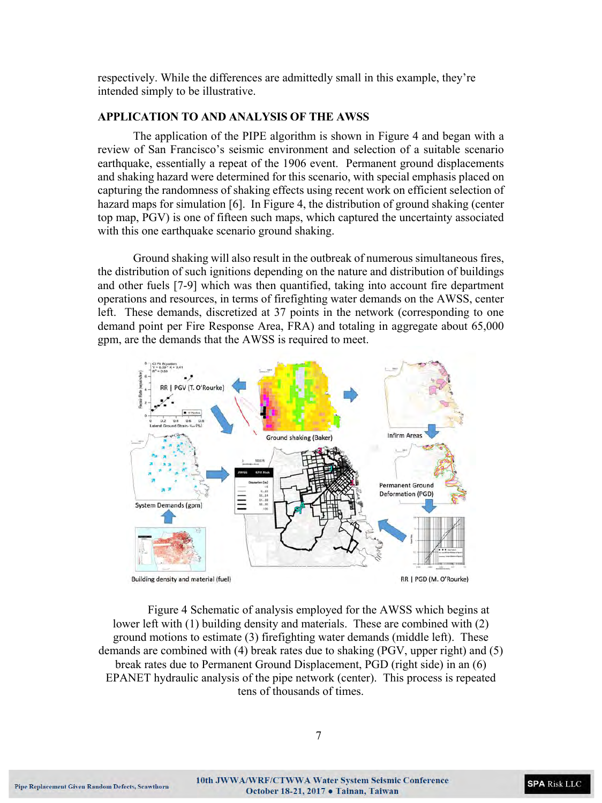respectively. While the differences are admittedly small in this example, they're intended simply to be illustrative.

## **APPLICATION TO AND ANALYSIS OF THE AWSS**

The application of the PIPE algorithm is shown in [Figure 4](#page-6-0) and began with a review of San Francisco's seismic environment and selection of a suitable scenario earthquake, essentially a repeat of the 1906 event. Permanent ground displacements and shaking hazard were determined for this scenario, with special emphasis placed on capturing the randomness of shaking effects using recent work on efficient selection of hazard maps for simulation [6]. In [Figure 4,](#page-6-0) the distribution of ground shaking (center top map, PGV) is one of fifteen such maps, which captured the uncertainty associated with this one earthquake scenario ground shaking.

Ground shaking will also result in the outbreak of numerous simultaneous fires, the distribution of such ignitions depending on the nature and distribution of buildings and other fuels [7-9] which was then quantified, taking into account fire department operations and resources, in terms of firefighting water demands on the AWSS, center left. These demands, discretized at 37 points in the network (corresponding to one demand point per Fire Response Area, FRA) and totaling in aggregate about 65,000 gpm, are the demands that the AWSS is required to meet.



<span id="page-6-0"></span>Figure 4 Schematic of analysis employed for the AWSS which begins at lower left with (1) building density and materials. These are combined with (2) ground motions to estimate (3) firefighting water demands (middle left). These demands are combined with (4) break rates due to shaking (PGV, upper right) and (5) break rates due to Permanent Ground Displacement, PGD (right side) in an (6) EPANET hydraulic analysis of the pipe network (center). This process is repeated tens of thousands of times.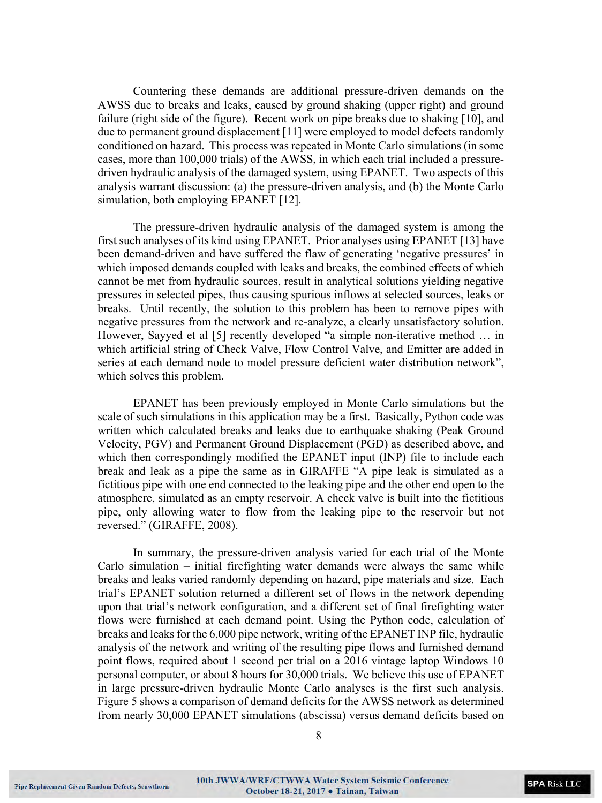Countering these demands are additional pressure-driven demands on the AWSS due to breaks and leaks, caused by ground shaking (upper right) and ground failure (right side of the figure). Recent work on pipe breaks due to shaking [10], and due to permanent ground displacement [11] were employed to model defects randomly conditioned on hazard. This process was repeated in Monte Carlo simulations (in some cases, more than 100,000 trials) of the AWSS, in which each trial included a pressuredriven hydraulic analysis of the damaged system, using EPANET. Two aspects of this analysis warrant discussion: (a) the pressure-driven analysis, and (b) the Monte Carlo simulation, both employing EPANET [12].

The pressure-driven hydraulic analysis of the damaged system is among the first such analyses of its kind using EPANET. Prior analyses using EPANET [13] have been demand-driven and have suffered the flaw of generating 'negative pressures' in which imposed demands coupled with leaks and breaks, the combined effects of which cannot be met from hydraulic sources, result in analytical solutions yielding negative pressures in selected pipes, thus causing spurious inflows at selected sources, leaks or breaks. Until recently, the solution to this problem has been to remove pipes with negative pressures from the network and re-analyze, a clearly unsatisfactory solution. However, Sayyed et al [5] recently developed "a simple non-iterative method … in which artificial string of Check Valve, Flow Control Valve, and Emitter are added in series at each demand node to model pressure deficient water distribution network", which solves this problem.

EPANET has been previously employed in Monte Carlo simulations but the scale of such simulations in this application may be a first. Basically, Python code was written which calculated breaks and leaks due to earthquake shaking (Peak Ground Velocity, PGV) and Permanent Ground Displacement (PGD) as described above, and which then correspondingly modified the EPANET input (INP) file to include each break and leak as a pipe the same as in GIRAFFE "A pipe leak is simulated as a fictitious pipe with one end connected to the leaking pipe and the other end open to the atmosphere, simulated as an empty reservoir. A check valve is built into the fictitious pipe, only allowing water to flow from the leaking pipe to the reservoir but not reversed." (GIRAFFE, 2008).

In summary, the pressure-driven analysis varied for each trial of the Monte Carlo simulation – initial firefighting water demands were always the same while breaks and leaks varied randomly depending on hazard, pipe materials and size. Each trial's EPANET solution returned a different set of flows in the network depending upon that trial's network configuration, and a different set of final firefighting water flows were furnished at each demand point. Using the Python code, calculation of breaks and leaks for the 6,000 pipe network, writing of the EPANET INP file, hydraulic analysis of the network and writing of the resulting pipe flows and furnished demand point flows, required about 1 second per trial on a 2016 vintage laptop Windows 10 personal computer, or about 8 hours for 30,000 trials. We believe this use of EPANET in large pressure-driven hydraulic Monte Carlo analyses is the first such analysis. [Figure 5](#page-8-0) shows a comparison of demand deficits for the AWSS network as determined from nearly 30,000 EPANET simulations (abscissa) versus demand deficits based on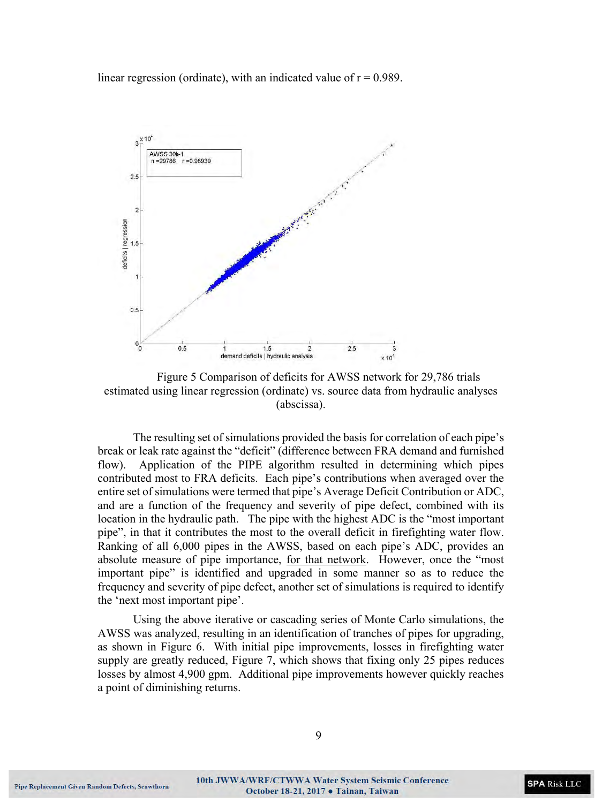linear regression (ordinate), with an indicated value of  $r = 0.989$ .



<span id="page-8-0"></span>Figure 5 Comparison of deficits for AWSS network for 29,786 trials estimated using linear regression (ordinate) vs. source data from hydraulic analyses (abscissa).

The resulting set of simulations provided the basis for correlation of each pipe's break or leak rate against the "deficit" (difference between FRA demand and furnished flow). Application of the PIPE algorithm resulted in determining which pipes contributed most to FRA deficits. Each pipe's contributions when averaged over the entire set of simulations were termed that pipe's Average Deficit Contribution or ADC, and are a function of the frequency and severity of pipe defect, combined with its location in the hydraulic path. The pipe with the highest ADC is the "most important pipe", in that it contributes the most to the overall deficit in firefighting water flow. Ranking of all 6,000 pipes in the AWSS, based on each pipe's ADC, provides an absolute measure of pipe importance, for that network. However, once the "most important pipe" is identified and upgraded in some manner so as to reduce the frequency and severity of pipe defect, another set of simulations is required to identify the 'next most important pipe'.

Using the above iterative or cascading series of Monte Carlo simulations, the AWSS was analyzed, resulting in an identification of tranches of pipes for upgrading, as shown in [Figure 6.](#page-9-0) With initial pipe improvements, losses in firefighting water supply are greatly reduced, [Figure 7,](#page-9-1) which shows that fixing only 25 pipes reduces losses by almost 4,900 gpm. Additional pipe improvements however quickly reaches a point of diminishing returns.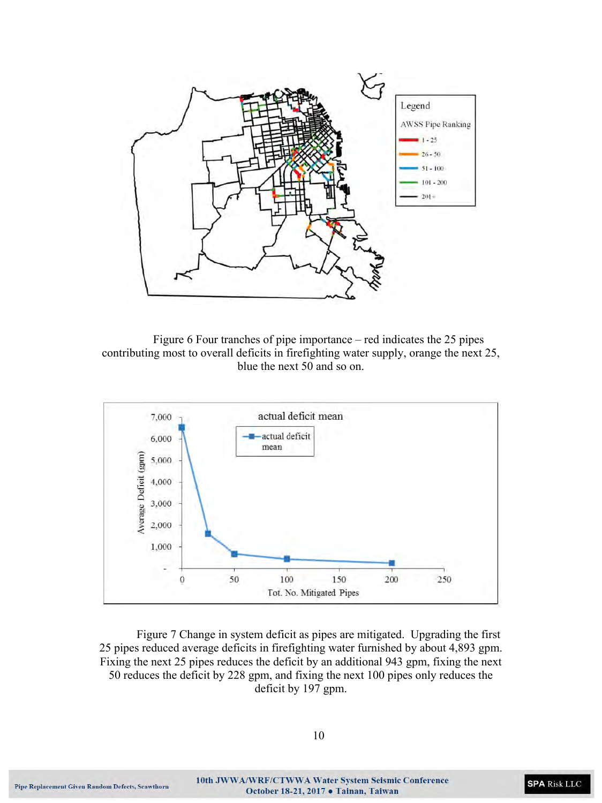

<span id="page-9-0"></span>Figure 6 Four tranches of pipe importance – red indicates the 25 pipes contributing most to overall deficits in firefighting water supply, orange the next 25, blue the next 50 and so on.



<span id="page-9-1"></span>Figure 7 Change in system deficit as pipes are mitigated. Upgrading the first 25 pipes reduced average deficits in firefighting water furnished by about 4,893 gpm. Fixing the next 25 pipes reduces the deficit by an additional 943 gpm, fixing the next 50 reduces the deficit by 228 gpm, and fixing the next 100 pipes only reduces the deficit by 197 gpm.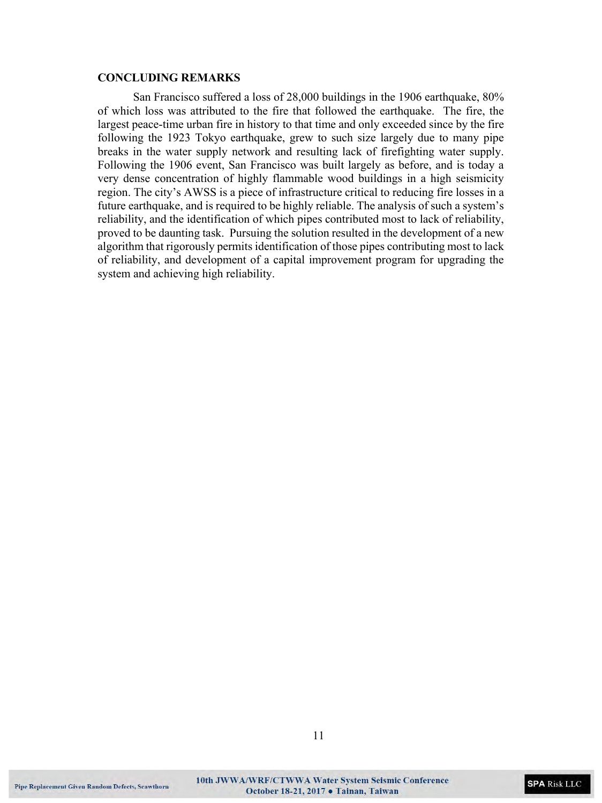### **CONCLUDING REMARKS**

San Francisco suffered a loss of 28,000 buildings in the 1906 earthquake, 80% of which loss was attributed to the fire that followed the earthquake. The fire, the largest peace-time urban fire in history to that time and only exceeded since by the fire following the 1923 Tokyo earthquake, grew to such size largely due to many pipe breaks in the water supply network and resulting lack of firefighting water supply. Following the 1906 event, San Francisco was built largely as before, and is today a very dense concentration of highly flammable wood buildings in a high seismicity region. The city's AWSS is a piece of infrastructure critical to reducing fire losses in a future earthquake, and is required to be highly reliable. The analysis of such a system's reliability, and the identification of which pipes contributed most to lack of reliability, proved to be daunting task. Pursuing the solution resulted in the development of a new algorithm that rigorously permits identification of those pipes contributing most to lack of reliability, and development of a capital improvement program for upgrading the system and achieving high reliability.